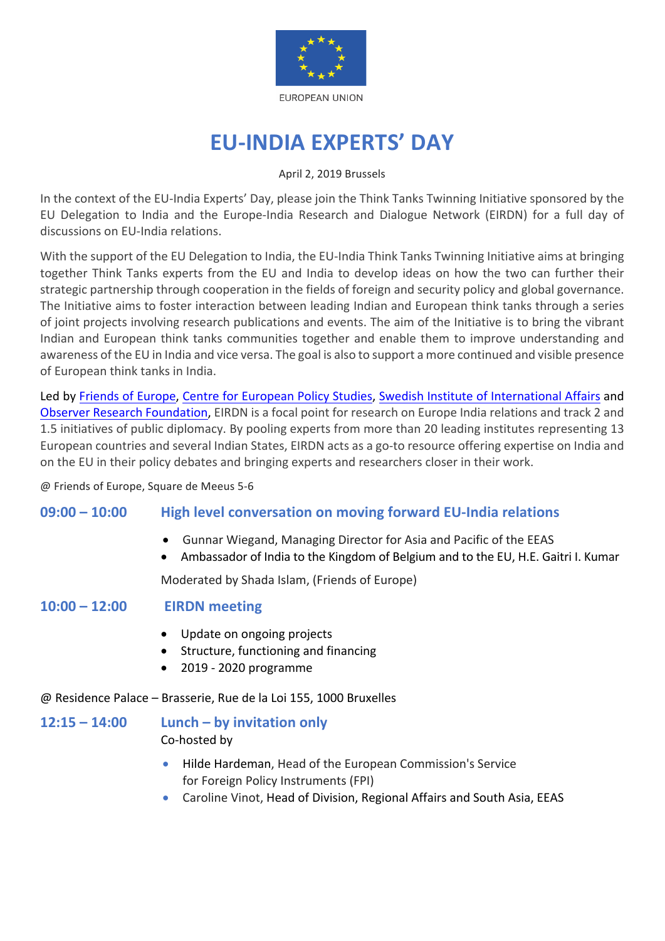

# **EU-INDIA EXPERTS' DAY**

#### April 2, 2019 Brussels

In the context of the EU-India Experts' Day, please join the Think Tanks Twinning Initiative sponsored by the EU Delegation to India and the Europe-India Research and Dialogue Network (EIRDN) for a full day of discussions on EU-India relations.

With the support of the EU Delegation to India, the EU-India Think Tanks Twinning Initiative aims at bringing together Think Tanks experts from the EU and India to develop ideas on how the two can further their strategic partnership through cooperation in the fields of foreign and security policy and global governance. The Initiative aims to foster interaction between leading Indian and European think tanks through a series of joint projects involving research publications and events. The aim of the Initiative is to bring the vibrant Indian and European think tanks communities together and enable them to improve understanding and awareness of the EU in India and vice versa. The goal is also to support a more continued and visible presence of European think tanks in India.

Led by Friends of Europe, Centre for European Policy Studies, Swedish Institute of International Affairs and Observer Research Foundation, EIRDN is a focal point for research on Europe India relations and track 2 and 1.5 initiatives of public diplomacy. By pooling experts from more than 20 leading institutes representing 13 European countries and several Indian States, EIRDN acts as a go-to resource offering expertise on India and on the EU in their policy debates and bringing experts and researchers closer in their work.

@ Friends of Europe, Square de Meeus 5-6

## **09:00 – 10:00** High level conversation on moving forward EU-India relations

- Gunnar Wiegand, Managing Director for Asia and Pacific of the EEAS
- Ambassador of India to the Kingdom of Belgium and to the EU, H.E. Gaitri I. Kumar

Moderated by Shada Islam, (Friends of Europe)

## **10:00 – 12:00 EIRDN meeting**

- Update on ongoing projects
- Structure, functioning and financing
- 2019 2020 programme

@ Residence Palace – Brasserie, Rue de la Loi 155, 1000 Bruxelles

## $12:15 - 14:00$  **Lunch** – by invitation only

Co-hosted by

- Hilde Hardeman, Head of the European Commission's Service for Foreign Policy Instruments (FPI)
- Caroline Vinot, Head of Division, Regional Affairs and South Asia, EEAS